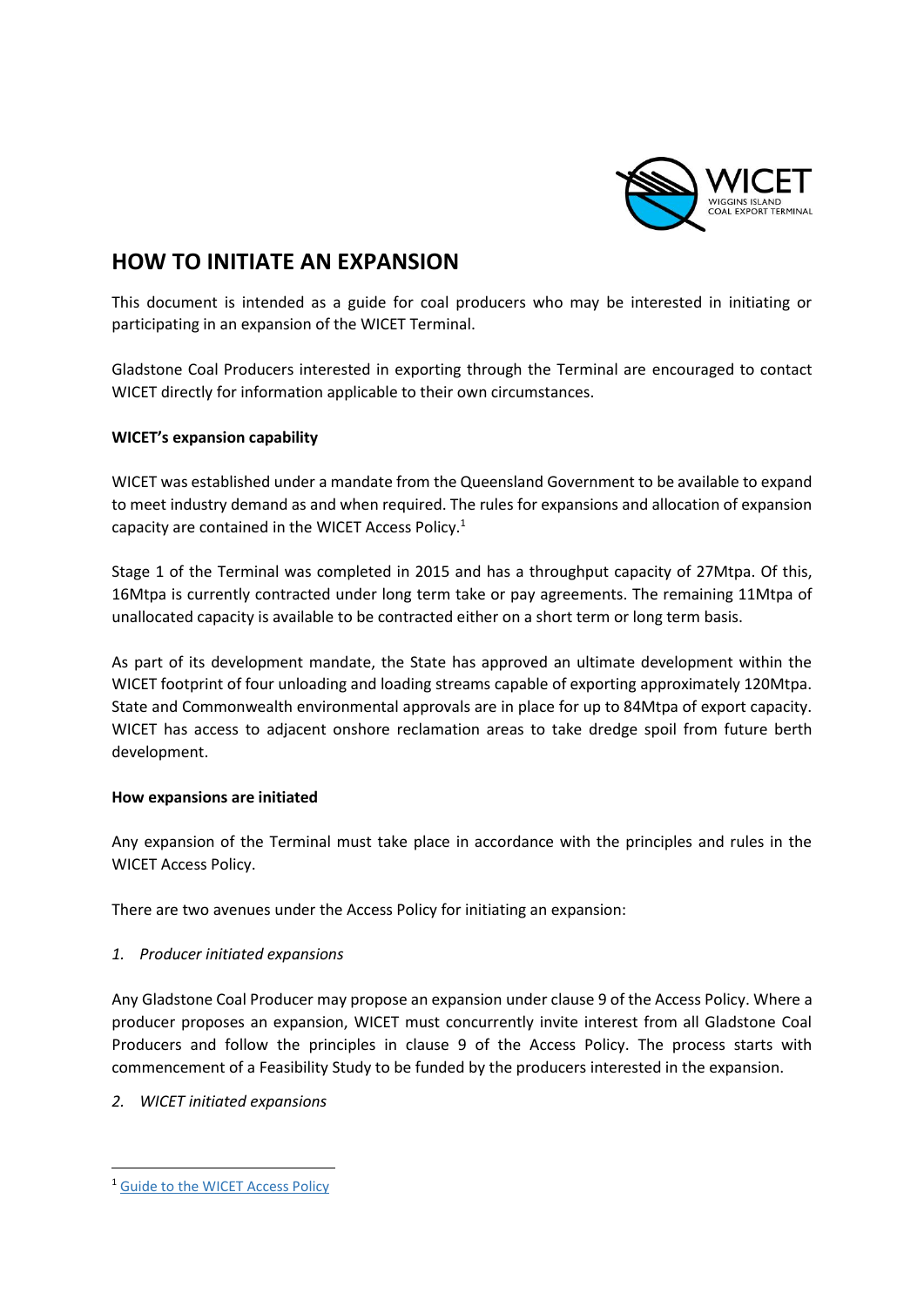

# **HOW TO INITIATE AN EXPANSION**

This document is intended as a guide for coal producers who may be interested in initiating or participating in an expansion of the WICET Terminal.

Gladstone Coal Producers interested in exporting through the Terminal are encouraged to contact WICET directly for information applicable to their own circumstances.

### **WICET's expansion capability**

WICET was established under a mandate from the Queensland Government to be available to expand to meet industry demand as and when required. The rules for expansions and allocation of expansion capacity are contained in the WICET Access Policy.<sup>1</sup>

Stage 1 of the Terminal was completed in 2015 and has a throughput capacity of 27Mtpa. Of this, 16Mtpa is currently contracted under long term take or pay agreements. The remaining 11Mtpa of unallocated capacity is available to be contracted either on a short term or long term basis.

As part of its development mandate, the State has approved an ultimate development within the WICET footprint of four unloading and loading streams capable of exporting approximately 120Mtpa. State and Commonwealth environmental approvals are in place for up to 84Mtpa of export capacity. WICET has access to adjacent onshore reclamation areas to take dredge spoil from future berth development.

#### **How expansions are initiated**

Any expansion of the Terminal must take place in accordance with the principles and rules in the WICET Access Policy.

There are two avenues under the Access Policy for initiating an expansion:

## *1. Producer initiated expansions*

Any Gladstone Coal Producer may propose an expansion under clause 9 of the Access Policy. Where a producer proposes an expansion, WICET must concurrently invite interest from all Gladstone Coal Producers and follow the principles in clause 9 of the Access Policy. The process starts with commencement of a Feasibility Study to be funded by the producers interested in the expansion.

## *2. WICET initiated expansions*

<sup>1</sup> Guide to the WICET Access Policy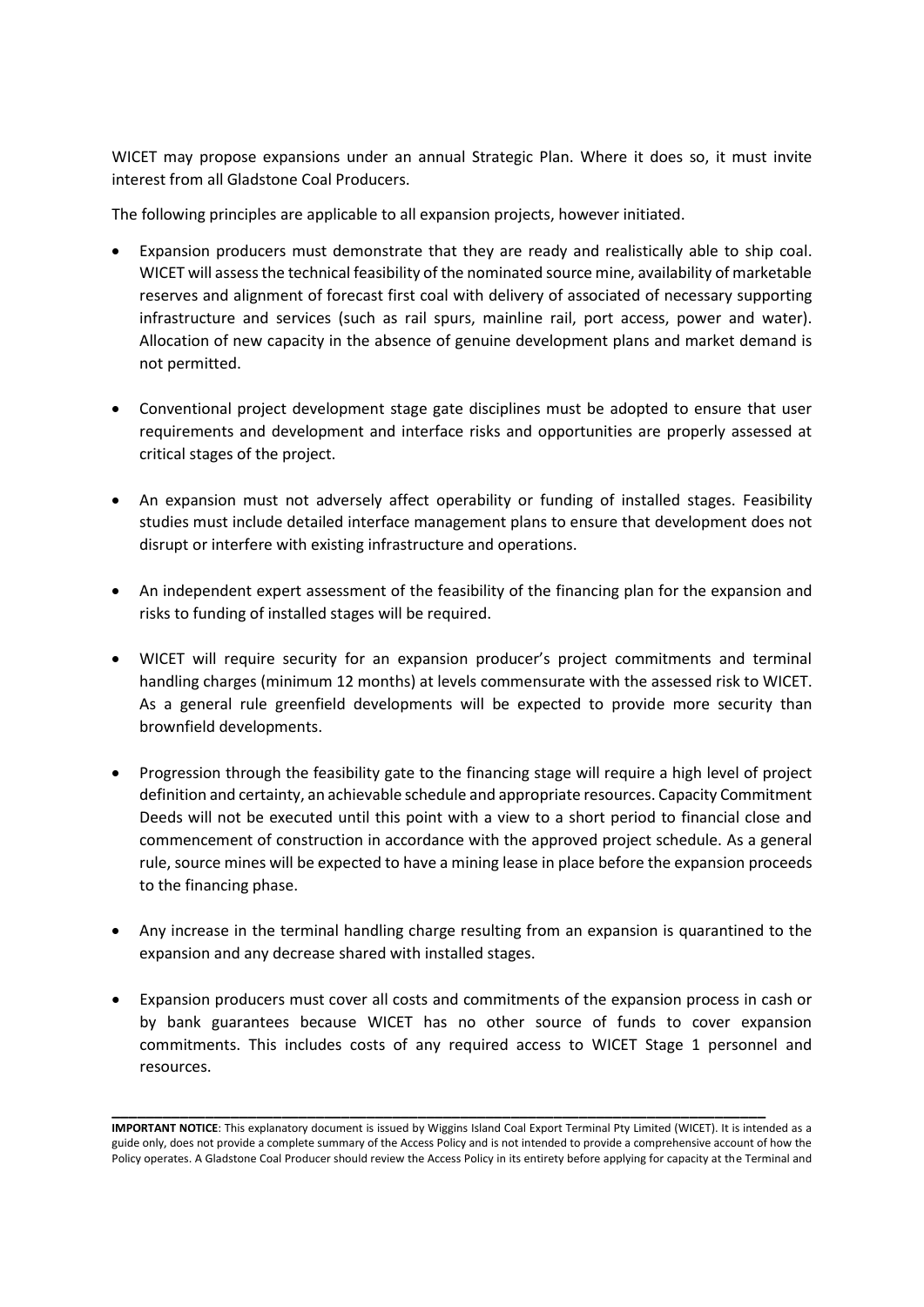WICET may propose expansions under an annual Strategic Plan. Where it does so, it must invite interest from all Gladstone Coal Producers.

The following principles are applicable to all expansion projects, however initiated.

- Expansion producers must demonstrate that they are ready and realistically able to ship coal. WICET will assess the technical feasibility of the nominated source mine, availability of marketable reserves and alignment of forecast first coal with delivery of associated of necessary supporting infrastructure and services (such as rail spurs, mainline rail, port access, power and water). Allocation of new capacity in the absence of genuine development plans and market demand is not permitted.
- Conventional project development stage gate disciplines must be adopted to ensure that user requirements and development and interface risks and opportunities are properly assessed at critical stages of the project.
- An expansion must not adversely affect operability or funding of installed stages. Feasibility studies must include detailed interface management plans to ensure that development does not disrupt or interfere with existing infrastructure and operations.
- An independent expert assessment of the feasibility of the financing plan for the expansion and risks to funding of installed stages will be required.
- WICET will require security for an expansion producer's project commitments and terminal handling charges (minimum 12 months) at levels commensurate with the assessed risk to WICET. As a general rule greenfield developments will be expected to provide more security than brownfield developments.
- Progression through the feasibility gate to the financing stage will require a high level of project definition and certainty, an achievable schedule and appropriate resources. Capacity Commitment Deeds will not be executed until this point with a view to a short period to financial close and commencement of construction in accordance with the approved project schedule. As a general rule, source mines will be expected to have a mining lease in place before the expansion proceeds to the financing phase.
- Any increase in the terminal handling charge resulting from an expansion is quarantined to the expansion and any decrease shared with installed stages.
- Expansion producers must cover all costs and commitments of the expansion process in cash or by bank guarantees because WICET has no other source of funds to cover expansion commitments. This includes costs of any required access to WICET Stage 1 personnel and resources.

**\_\_\_\_\_\_\_\_\_\_\_\_\_\_\_\_\_\_\_\_\_\_\_\_\_\_\_\_\_\_\_\_\_\_\_\_\_\_\_\_\_\_\_\_\_\_\_\_\_\_\_\_\_\_\_\_\_\_\_\_\_\_\_\_\_\_\_\_\_\_\_\_\_\_\_\_\_** 

**IMPORTANT NOTICE**: This explanatory document is issued by Wiggins Island Coal Export Terminal Pty Limited (WICET). It is intended as a guide only, does not provide a complete summary of the Access Policy and is not intended to provide a comprehensive account of how the Policy operates. A Gladstone Coal Producer should review the Access Policy in its entirety before applying for capacity at the Terminal and